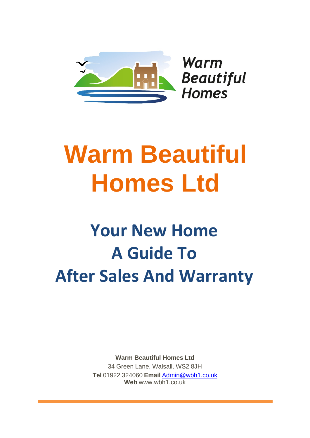

Warm **Beautiful Homes** 

# **Warm Beautiful Homes Ltd**

# **Your New Home A Guide To After Sales And Warranty**

**Warm Beautiful Homes Ltd** 34 Green Lane, Walsall, WS2 8JH **Tel** 01922 324060 **Email** [Admin@wbh1.co.uk](mailto:Admin@wbh1.co.uk) **Web** [www.wbh1.co.uk](http://www.fixability.net/)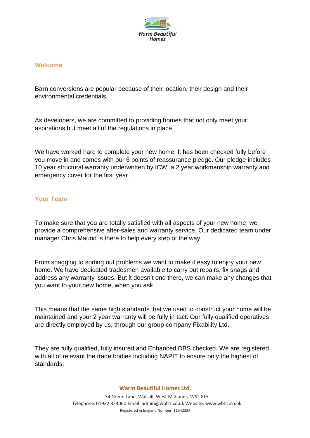

#### **Welcome**

Barn conversions are popular because of their location, their design and their environmental credentials.

As developers, we are committed to providing homes that not only meet your aspirations but meet all of the regulations in place.

We have worked hard to complete your new home. It has been checked fully before you move in and comes with our 6 points of reassurance pledge. Our pledge includes 10 year structural warranty underwritten by ICW, a 2 year workmanship warranty and emergency cover for the first year.

#### **Your Team**

To make sure that you are totally satisfied with all aspects of your new home, we provide a comprehensive after-sales and warranty service. Our dedicated team under manager Chris Maund is there to help every step of the way.

From snagging to sorting out problems we want to make it easy to enjoy your new home. We have dedicated tradesmen available to carry out repairs, fix snags and address any warranty issues. But it doesn't end there, we can make any changes that you want to your new home, when you ask.

This means that the same high standards that we used to construct your home will be maintained and your 2 year warranty will be fully in tact. Our fully qualified operatives are directly employed by us, through our group company Fixability Ltd.

They are fully qualified, fully insured and Enhanced DBS checked. We are registered with all of relevant the trade bodies including NAPIT to ensure only the highest of standards.

#### **Warm Beautiful Homes Ltd.**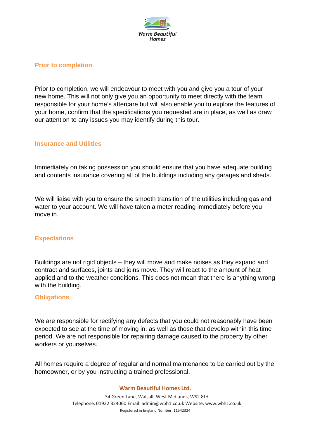

### **Prior to completion**

Prior to completion, we will endeavour to meet with you and give you a tour of your new home. This will not only give you an opportunity to meet directly with the team responsible for your home's aftercare but will also enable you to explore the features of your home, confirm that the specifications you requested are in place, as well as draw our attention to any issues you may identify during this tour.

#### **Insurance and Utilities**

Immediately on taking possession you should ensure that you have adequate building and contents insurance covering all of the buildings including any garages and sheds.

We will liaise with you to ensure the smooth transition of the utilities including gas and water to your account. We will have taken a meter reading immediately before you move in.

#### **Expectations**

Buildings are not rigid objects – they will move and make noises as they expand and contract and surfaces, joints and joins move. They will react to the amount of heat applied and to the weather conditions. This does not mean that there is anything wrong with the building.

#### **Obligations**

We are responsible for rectifying any defects that you could not reasonably have been expected to see at the time of moving in, as well as those that develop within this time period. We are not responsible for repairing damage caused to the property by other workers or yourselves.

All homes require a degree of regular and normal maintenance to be carried out by the homeowner, or by you instructing a trained professional.

#### **Warm Beautiful Homes Ltd.**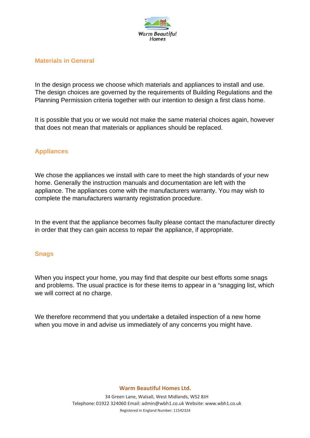

#### **Materials in General**

In the design process we choose which materials and appliances to install and use. The design choices are governed by the requirements of Building Regulations and the Planning Permission criteria together with our intention to design a first class home.

It is possible that you or we would not make the same material choices again, however that does not mean that materials or appliances should be replaced.

### **Appliances**

We chose the appliances we install with care to meet the high standards of your new home. Generally the instruction manuals and documentation are left with the appliance. The appliances come with the manufacturers warranty. You may wish to complete the manufacturers warranty registration procedure.

In the event that the appliance becomes faulty please contact the manufacturer directly in order that they can gain access to repair the appliance, if appropriate.

#### **Snags**

When you inspect your home, you may find that despite our best efforts some snags and problems. The usual practice is for these items to appear in a "snagging list, which we will correct at no charge.

We therefore recommend that you undertake a detailed inspection of a new home when you move in and advise us immediately of any concerns you might have.

**Warm Beautiful Homes Ltd.**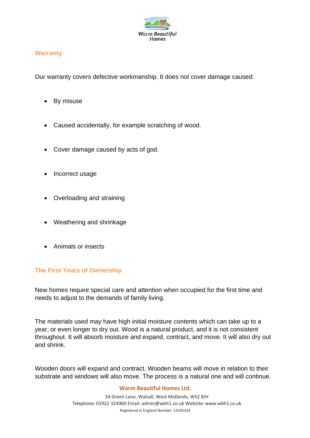

# **Warranty**

Our warranty covers defective workmanship. It does not cover damage caused:

- By misuse
- Caused accidentally, for example scratching of wood.
- Cover damage caused by acts of god.
- Incorrect usage
- Overloading and straining
- Weathering and shrinkage
- Animals or insects

# **The First Years of Ownership**

New homes require special care and attention when occupied for the first time and needs to adjust to the demands of family living.

The materials used may have high initial moisture contents which can take up to a year, or even longer to dry out. Wood is a natural product, and it is not consistent throughout. It will absorb moisture and expand, contract, and move. It will also dry out and shrink.

Wooden doors will expand and contract. Wooden beams will move in relation to their substrate and windows will also move. The process is a natural one and will continue.

#### **Warm Beautiful Homes Ltd.**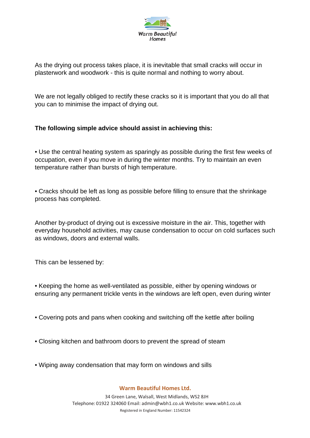

As the drying out process takes place, it is inevitable that small cracks will occur in plasterwork and woodwork - this is quite normal and nothing to worry about.

We are not legally obliged to rectify these cracks so it is important that you do all that you can to minimise the impact of drying out.

# **The following simple advice should assist in achieving this:**

• Use the central heating system as sparingly as possible during the first few weeks of occupation, even if you move in during the winter months. Try to maintain an even temperature rather than bursts of high temperature.

• Cracks should be left as long as possible before filling to ensure that the shrinkage process has completed.

Another by-product of drying out is excessive moisture in the air. This, together with everyday household activities, may cause condensation to occur on cold surfaces such as windows, doors and external walls.

This can be lessened by:

• Keeping the home as well-ventilated as possible, either by opening windows or ensuring any permanent trickle vents in the windows are left open, even during winter

- Covering pots and pans when cooking and switching off the kettle after boiling
- Closing kitchen and bathroom doors to prevent the spread of steam
- Wiping away condensation that may form on windows and sills

#### **Warm Beautiful Homes Ltd.**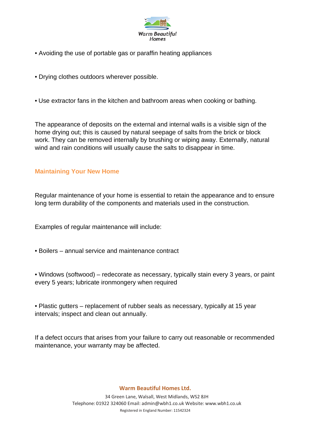

- Avoiding the use of portable gas or paraffin heating appliances
- Drying clothes outdoors wherever possible.
- Use extractor fans in the kitchen and bathroom areas when cooking or bathing.

The appearance of deposits on the external and internal walls is a visible sign of the home drying out; this is caused by natural seepage of salts from the brick or block work. They can be removed internally by brushing or wiping away. Externally, natural wind and rain conditions will usually cause the salts to disappear in time.

#### **Maintaining Your New Home**

Regular maintenance of your home is essential to retain the appearance and to ensure long term durability of the components and materials used in the construction.

Examples of regular maintenance will include:

- Boilers annual service and maintenance contract
- Windows (softwood) redecorate as necessary, typically stain every 3 years, or paint every 5 years; lubricate ironmongery when required
- Plastic gutters replacement of rubber seals as necessary, typically at 15 year intervals; inspect and clean out annually.

If a defect occurs that arises from your failure to carry out reasonable or recommended maintenance, your warranty may be affected.

#### **Warm Beautiful Homes Ltd.**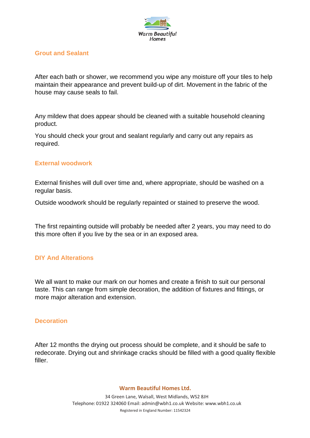

#### **Grout and Sealant**

After each bath or shower, we recommend you wipe any moisture off your tiles to help maintain their appearance and prevent build-up of dirt. Movement in the fabric of the house may cause seals to fail.

Any mildew that does appear should be cleaned with a suitable household cleaning product.

You should check your grout and sealant regularly and carry out any repairs as required.

### **External woodwork**

External finishes will dull over time and, where appropriate, should be washed on a regular basis.

Outside woodwork should be regularly repainted or stained to preserve the wood.

The first repainting outside will probably be needed after 2 years, you may need to do this more often if you live by the sea or in an exposed area.

#### **DIY And Alterations**

We all want to make our mark on our homes and create a finish to suit our personal taste. This can range from simple decoration, the addition of fixtures and fittings, or more major alteration and extension.

#### **Decoration**

After 12 months the drying out process should be complete, and it should be safe to redecorate. Drying out and shrinkage cracks should be filled with a good quality flexible filler.

#### **Warm Beautiful Homes Ltd.**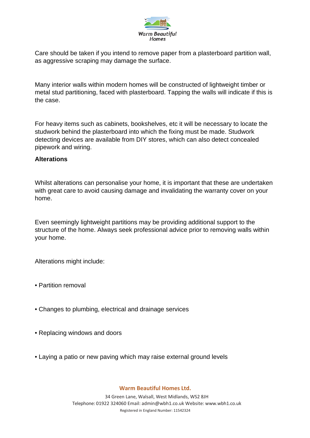

Care should be taken if you intend to remove paper from a plasterboard partition wall, as aggressive scraping may damage the surface.

Many interior walls within modern homes will be constructed of lightweight timber or metal stud partitioning, faced with plasterboard. Tapping the walls will indicate if this is the case.

For heavy items such as cabinets, bookshelves, etc it will be necessary to locate the studwork behind the plasterboard into which the fixing must be made. Studwork detecting devices are available from DIY stores, which can also detect concealed pipework and wiring.

#### **Alterations**

Whilst alterations can personalise your home, it is important that these are undertaken with great care to avoid causing damage and invalidating the warranty cover on your home.

Even seemingly lightweight partitions may be providing additional support to the structure of the home. Always seek professional advice prior to removing walls within your home.

Alterations might include:

- Partition removal
- Changes to plumbing, electrical and drainage services
- Replacing windows and doors
- Laying a patio or new paving which may raise external ground levels

#### **Warm Beautiful Homes Ltd.**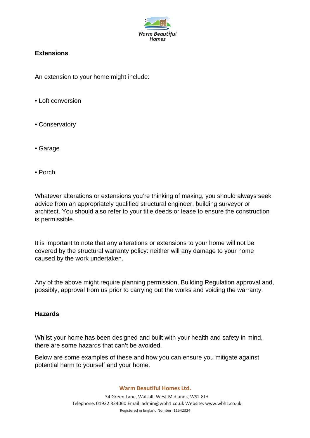

# **Extensions**

An extension to your home might include:

- Loft conversion
- Conservatory
- Garage
- Porch

Whatever alterations or extensions you're thinking of making, you should always seek advice from an appropriately qualified structural engineer, building surveyor or architect. You should also refer to your title deeds or lease to ensure the construction is permissible.

It is important to note that any alterations or extensions to your home will not be covered by the structural warranty policy: neither will any damage to your home caused by the work undertaken.

Any of the above might require planning permission, Building Regulation approval and, possibly, approval from us prior to carrying out the works and voiding the warranty.

#### **Hazards**

Whilst your home has been designed and built with your health and safety in mind, there are some hazards that can't be avoided.

Below are some examples of these and how you can ensure you mitigate against potential harm to yourself and your home.

**Warm Beautiful Homes Ltd.**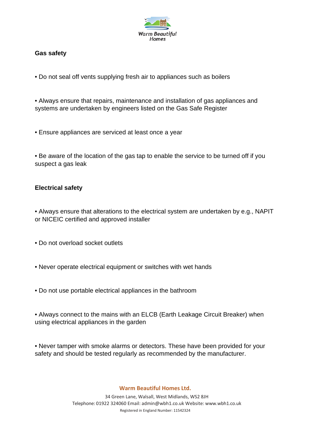

## **Gas safety**

- Do not seal off vents supplying fresh air to appliances such as boilers
- Always ensure that repairs, maintenance and installation of gas appliances and systems are undertaken by engineers listed on the Gas Safe Register
- Ensure appliances are serviced at least once a year
- Be aware of the location of the gas tap to enable the service to be turned off if you suspect a gas leak

### **Electrical safety**

- Always ensure that alterations to the electrical system are undertaken by e.g., NAPIT or NICEIC certified and approved installer
- Do not overload socket outlets
- Never operate electrical equipment or switches with wet hands
- Do not use portable electrical appliances in the bathroom
- Always connect to the mains with an ELCB (Earth Leakage Circuit Breaker) when using electrical appliances in the garden
- Never tamper with smoke alarms or detectors. These have been provided for your safety and should be tested regularly as recommended by the manufacturer.

#### **Warm Beautiful Homes Ltd.**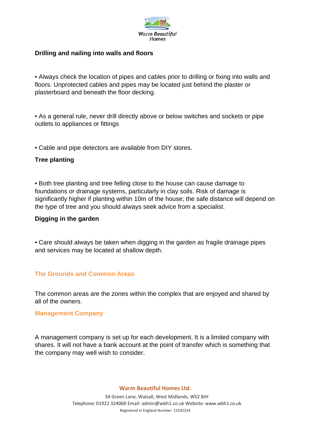

#### **Drilling and nailing into walls and floors**

• Always check the location of pipes and cables prior to drilling or fixing into walls and floors. Unprotected cables and pipes may be located just behind the plaster or plasterboard and beneath the floor decking.

• As a general rule, never drill directly above or below switches and sockets or pipe outlets to appliances or fittings

• Cable and pipe detectors are available from DIY stores.

### **Tree planting**

• Both tree planting and tree felling close to the house can cause damage to foundations or drainage systems, particularly in clay soils. Risk of damage is significantly higher if planting within 10m of the house; the safe distance will depend on the type of tree and you should always seek advice from a specialist.

#### **Digging in the garden**

• Care should always be taken when digging in the garden as fragile drainage pipes and services may be located at shallow depth.

# **The Grounds and Common Areas**

The common areas are the zones within the complex that are enjoyed and shared by all of the owners.

#### **Management Company**

A management company is set up for each development. It is a limited company with shares. It will not have a bank account at the point of transfer which is something that the company may well wish to consider.

#### **Warm Beautiful Homes Ltd.**